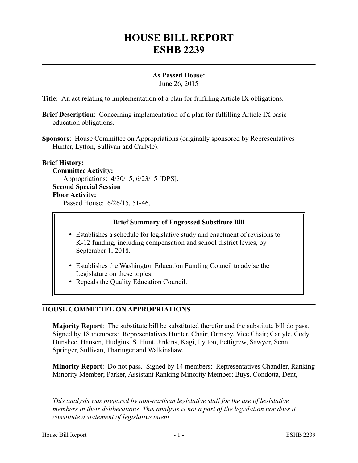# **HOUSE BILL REPORT ESHB 2239**

# **As Passed House:**

June 26, 2015

**Title**: An act relating to implementation of a plan for fulfilling Article IX obligations.

- **Brief Description**: Concerning implementation of a plan for fulfilling Article IX basic education obligations.
- **Sponsors**: House Committee on Appropriations (originally sponsored by Representatives Hunter, Lytton, Sullivan and Carlyle).

# **Brief History:**

**Committee Activity:** Appropriations: 4/30/15, 6/23/15 [DPS]. **Second Special Session Floor Activity:** Passed House: 6/26/15, 51-46.

# **Brief Summary of Engrossed Substitute Bill**

- Establishes a schedule for legislative study and enactment of revisions to K-12 funding, including compensation and school district levies, by September 1, 2018.
- Establishes the Washington Education Funding Council to advise the Legislature on these topics.
- Repeals the Quality Education Council.

# **HOUSE COMMITTEE ON APPROPRIATIONS**

**Majority Report**: The substitute bill be substituted therefor and the substitute bill do pass. Signed by 18 members: Representatives Hunter, Chair; Ormsby, Vice Chair; Carlyle, Cody, Dunshee, Hansen, Hudgins, S. Hunt, Jinkins, Kagi, Lytton, Pettigrew, Sawyer, Senn, Springer, Sullivan, Tharinger and Walkinshaw.

**Minority Report**: Do not pass. Signed by 14 members: Representatives Chandler, Ranking Minority Member; Parker, Assistant Ranking Minority Member; Buys, Condotta, Dent,

––––––––––––––––––––––

*This analysis was prepared by non-partisan legislative staff for the use of legislative members in their deliberations. This analysis is not a part of the legislation nor does it constitute a statement of legislative intent.*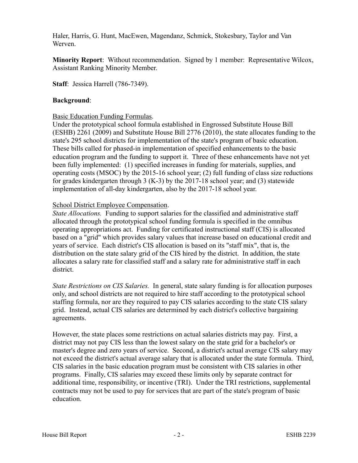Haler, Harris, G. Hunt, MacEwen, Magendanz, Schmick, Stokesbary, Taylor and Van Werven.

**Minority Report**: Without recommendation. Signed by 1 member: Representative Wilcox, Assistant Ranking Minority Member.

**Staff**: Jessica Harrell (786-7349).

#### **Background**:

#### Basic Education Funding Formulas.

Under the prototypical school formula established in Engrossed Substitute House Bill (ESHB) 2261 (2009) and Substitute House Bill 2776 (2010), the state allocates funding to the state's 295 school districts for implementation of the state's program of basic education. These bills called for phased-in implementation of specified enhancements to the basic education program and the funding to support it. Three of these enhancements have not yet been fully implemented: (1) specified increases in funding for materials, supplies, and operating costs (MSOC) by the 2015-16 school year; (2) full funding of class size reductions for grades kindergarten through 3 (K-3) by the 2017-18 school year; and (3) statewide implementation of all-day kindergarten, also by the 2017-18 school year.

# School District Employee Compensation.

*State Allocations.* Funding to support salaries for the classified and administrative staff allocated through the prototypical school funding formula is specified in the omnibus operating appropriations act. Funding for certificated instructional staff (CIS) is allocated based on a "grid" which provides salary values that increase based on educational credit and years of service. Each district's CIS allocation is based on its "staff mix", that is, the distribution on the state salary grid of the CIS hired by the district. In addition, the state allocates a salary rate for classified staff and a salary rate for administrative staff in each district.

*State Restrictions on CIS Salaries.* In general, state salary funding is for allocation purposes only, and school districts are not required to hire staff according to the prototypical school staffing formula, nor are they required to pay CIS salaries according to the state CIS salary grid. Instead, actual CIS salaries are determined by each district's collective bargaining agreements.

However, the state places some restrictions on actual salaries districts may pay. First, a district may not pay CIS less than the lowest salary on the state grid for a bachelor's or master's degree and zero years of service. Second, a district's actual average CIS salary may not exceed the district's actual average salary that is allocated under the state formula. Third, CIS salaries in the basic education program must be consistent with CIS salaries in other programs. Finally, CIS salaries may exceed these limits only by separate contract for additional time, responsibility, or incentive (TRI). Under the TRI restrictions, supplemental contracts may not be used to pay for services that are part of the state's program of basic education.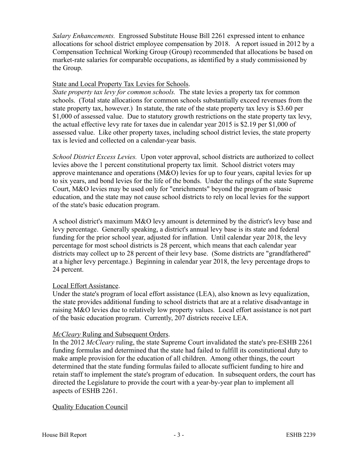*Salary Enhancements.* Engrossed Substitute House Bill 2261 expressed intent to enhance allocations for school district employee compensation by 2018. A report issued in 2012 by a Compensation Technical Working Group (Group) recommended that allocations be based on market-rate salaries for comparable occupations, as identified by a study commissioned by the Group.

# State and Local Property Tax Levies for Schools.

*State property tax levy for common schools.* The state levies a property tax for common schools. (Total state allocations for common schools substantially exceed revenues from the state property tax, however.) In statute, the rate of the state property tax levy is \$3.60 per \$1,000 of assessed value. Due to statutory growth restrictions on the state property tax levy, the actual effective levy rate for taxes due in calendar year 2015 is \$2.19 per \$1,000 of assessed value. Like other property taxes, including school district levies, the state property tax is levied and collected on a calendar-year basis.

*School District Excess Levies.* Upon voter approval, school districts are authorized to collect levies above the 1 percent constitutional property tax limit. School district voters may approve maintenance and operations (M&O) levies for up to four years, capital levies for up to six years, and bond levies for the life of the bonds. Under the rulings of the state Supreme Court, M&O levies may be used only for "enrichments" beyond the program of basic education, and the state may not cause school districts to rely on local levies for the support of the state's basic education program.

A school district's maximum M&O levy amount is determined by the district's levy base and levy percentage. Generally speaking, a district's annual levy base is its state and federal funding for the prior school year, adjusted for inflation. Until calendar year 2018, the levy percentage for most school districts is 28 percent, which means that each calendar year districts may collect up to 28 percent of their levy base. (Some districts are "grandfathered" at a higher levy percentage.) Beginning in calendar year 2018, the levy percentage drops to 24 percent.

# Local Effort Assistance.

Under the state's program of local effort assistance (LEA), also known as levy equalization, the state provides additional funding to school districts that are at a relative disadvantage in raising M&O levies due to relatively low property values. Local effort assistance is not part of the basic education program. Currently, 207 districts receive LEA.

# *McCleary* Ruling and Subsequent Orders.

In the 2012 *McCleary* ruling, the state Supreme Court invalidated the state's pre-ESHB 2261 funding formulas and determined that the state had failed to fulfill its constitutional duty to make ample provision for the education of all children. Among other things, the court determined that the state funding formulas failed to allocate sufficient funding to hire and retain staff to implement the state's program of education. In subsequent orders, the court has directed the Legislature to provide the court with a year-by-year plan to implement all aspects of ESHB 2261.

# Quality Education Council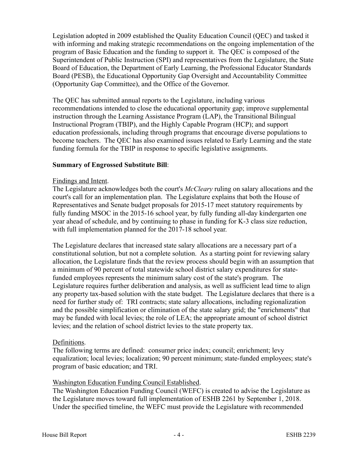Legislation adopted in 2009 established the Quality Education Council (QEC) and tasked it with informing and making strategic recommendations on the ongoing implementation of the program of Basic Education and the funding to support it. The QEC is composed of the Superintendent of Public Instruction (SPI) and representatives from the Legislature, the State Board of Education, the Department of Early Learning, the Professional Educator Standards Board (PESB), the Educational Opportunity Gap Oversight and Accountability Committee (Opportunity Gap Committee), and the Office of the Governor.

The QEC has submitted annual reports to the Legislature, including various recommendations intended to close the educational opportunity gap; improve supplemental instruction through the Learning Assistance Program (LAP), the Transitional Bilingual Instructional Program (TBIP), and the Highly Capable Program (HCP); and support education professionals, including through programs that encourage diverse populations to become teachers. The QEC has also examined issues related to Early Learning and the state funding formula for the TBIP in response to specific legislative assignments.

#### **Summary of Engrossed Substitute Bill**:

#### Findings and Intent.

The Legislature acknowledges both the court's *McCleary* ruling on salary allocations and the court's call for an implementation plan. The Legislature explains that both the House of Representatives and Senate budget proposals for 2015-17 meet statutory requirements by fully funding MSOC in the 2015-16 school year, by fully funding all-day kindergarten one year ahead of schedule, and by continuing to phase in funding for K-3 class size reduction, with full implementation planned for the 2017-18 school year.

The Legislature declares that increased state salary allocations are a necessary part of a constitutional solution, but not a complete solution. As a starting point for reviewing salary allocation, the Legislature finds that the review process should begin with an assumption that a minimum of 90 percent of total statewide school district salary expenditures for statefunded employees represents the minimum salary cost of the state's program. The Legislature requires further deliberation and analysis, as well as sufficient lead time to align any property tax-based solution with the state budget. The Legislature declares that there is a need for further study of: TRI contracts; state salary allocations, including regionalization and the possible simplification or elimination of the state salary grid; the "enrichments" that may be funded with local levies; the role of LEA; the appropriate amount of school district levies; and the relation of school district levies to the state property tax.

#### Definitions.

The following terms are defined: consumer price index; council; enrichment; levy equalization; local levies; localization; 90 percent minimum; state-funded employees; state's program of basic education; and TRI.

# Washington Education Funding Council Established.

The Washington Education Funding Council (WEFC) is created to advise the Legislature as the Legislature moves toward full implementation of ESHB 2261 by September 1, 2018. Under the specified timeline, the WEFC must provide the Legislature with recommended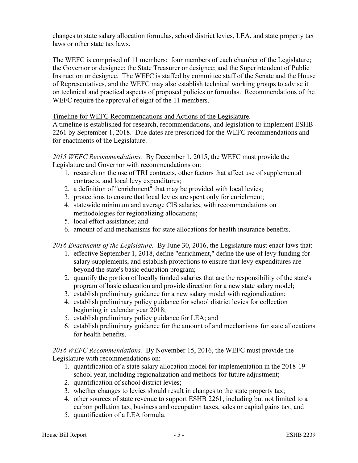changes to state salary allocation formulas, school district levies, LEA, and state property tax laws or other state tax laws.

The WEFC is comprised of 11 members: four members of each chamber of the Legislature; the Governor or designee; the State Treasurer or designee; and the Superintendent of Public Instruction or designee. The WEFC is staffed by committee staff of the Senate and the House of Representatives, and the WEFC may also establish technical working groups to advise it on technical and practical aspects of proposed policies or formulas. Recommendations of the WEFC require the approval of eight of the 11 members.

Timeline for WEFC Recommendations and Actions of the Legislature.

A timeline is established for research, recommendations, and legislation to implement ESHB 2261 by September 1, 2018. Due dates are prescribed for the WEFC recommendations and for enactments of the Legislature.

*2015 WEFC Recommendations.* By December 1, 2015, the WEFC must provide the Legislature and Governor with recommendations on:

- 1. research on the use of TRI contracts, other factors that affect use of supplemental contracts, and local levy expenditures;
- 2. a definition of "enrichment" that may be provided with local levies;
- 3. protections to ensure that local levies are spent only for enrichment;
- 4. statewide minimum and average CIS salaries, with recommendations on methodologies for regionalizing allocations;
- 5. local effort assistance; and
- 6. amount of and mechanisms for state allocations for health insurance benefits.

*2016 Enactments of the Legislature.* By June 30, 2016, the Legislature must enact laws that:

- 1. effective September 1, 2018, define "enrichment," define the use of levy funding for salary supplements, and establish protections to ensure that levy expenditures are beyond the state's basic education program;
- 2. quantify the portion of locally funded salaries that are the responsibility of the state's program of basic education and provide direction for a new state salary model;
- 3. establish preliminary guidance for a new salary model with regionalization;
- 4. establish preliminary policy guidance for school district levies for collection beginning in calendar year 2018;
- 5. establish preliminary policy guidance for LEA; and
- 6. establish preliminary guidance for the amount of and mechanisms for state allocations for health benefits.

*2016 WEFC Recommendations.* By November 15, 2016, the WEFC must provide the Legislature with recommendations on:

- 1. quantification of a state salary allocation model for implementation in the 2018-19 school year, including regionalization and methods for future adjustment;
- 2. quantification of school district levies;
- 3. whether changes to levies should result in changes to the state property tax;
- 4. other sources of state revenue to support ESHB 2261, including but not limited to a carbon pollution tax, business and occupation taxes, sales or capital gains tax; and
- 5. quantification of a LEA formula.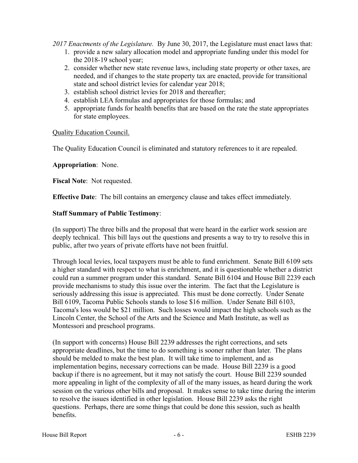*2017 Enactments of the Legislature.* By June 30, 2017, the Legislature must enact laws that:

- 1. provide a new salary allocation model and appropriate funding under this model for the 2018-19 school year;
- 2. consider whether new state revenue laws, including state property or other taxes, are needed, and if changes to the state property tax are enacted, provide for transitional state and school district levies for calendar year 2018;
- 3. establish school district levies for 2018 and thereafter;
- 4. establish LEA formulas and appropriates for those formulas; and
- 5. appropriate funds for health benefits that are based on the rate the state appropriates for state employees.

# Quality Education Council.

The Quality Education Council is eliminated and statutory references to it are repealed.

#### **Appropriation**: None.

**Fiscal Note**: Not requested.

**Effective Date**: The bill contains an emergency clause and takes effect immediately.

#### **Staff Summary of Public Testimony**:

(In support) The three bills and the proposal that were heard in the earlier work session are deeply technical. This bill lays out the questions and presents a way to try to resolve this in public, after two years of private efforts have not been fruitful.

Through local levies, local taxpayers must be able to fund enrichment. Senate Bill 6109 sets a higher standard with respect to what is enrichment, and it is questionable whether a district could run a summer program under this standard. Senate Bill 6104 and House Bill 2239 each provide mechanisms to study this issue over the interim. The fact that the Legislature is seriously addressing this issue is appreciated. This must be done correctly. Under Senate Bill 6109, Tacoma Public Schools stands to lose \$16 million. Under Senate Bill 6103, Tacoma's loss would be \$21 million. Such losses would impact the high schools such as the Lincoln Center, the School of the Arts and the Science and Math Institute, as well as Montessori and preschool programs.

(In support with concerns) House Bill 2239 addresses the right corrections, and sets appropriate deadlines, but the time to do something is sooner rather than later. The plans should be melded to make the best plan. It will take time to implement, and as implementation begins, necessary corrections can be made. House Bill 2239 is a good backup if there is no agreement, but it may not satisfy the court. House Bill 2239 sounded more appealing in light of the complexity of all of the many issues, as heard during the work session on the various other bills and proposal. It makes sense to take time during the interim to resolve the issues identified in other legislation. House Bill 2239 asks the right questions. Perhaps, there are some things that could be done this session, such as health benefits.